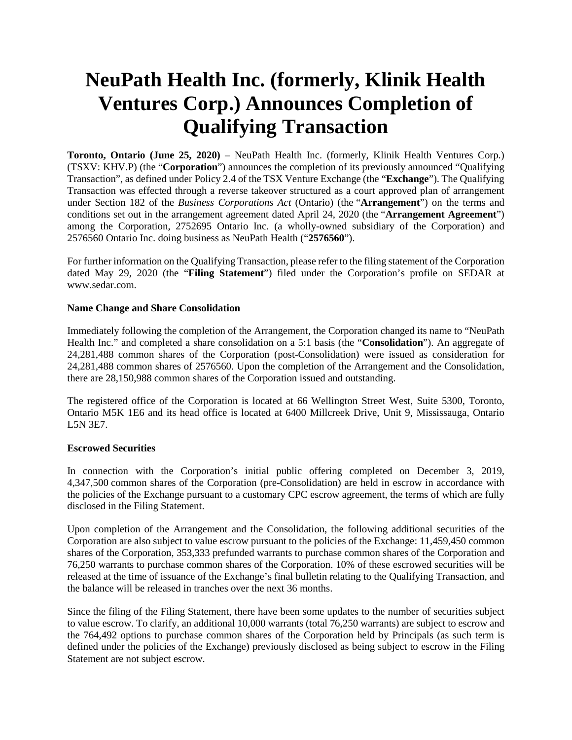# **NeuPath Health Inc. (formerly, Klinik Health Ventures Corp.) Announces Completion of Qualifying Transaction**

**Toronto, Ontario (June 25, 2020)** – NeuPath Health Inc. (formerly, Klinik Health Ventures Corp.) (TSXV: KHV.P) (the "**Corporation**") announces the completion of its previously announced "Qualifying Transaction", as defined under Policy 2.4 of the TSX Venture Exchange (the "**Exchange**"). The Qualifying Transaction was effected through a reverse takeover structured as a court approved plan of arrangement under Section 182 of the *Business Corporations Act* (Ontario) (the "**Arrangement**") on the terms and conditions set out in the arrangement agreement dated April 24, 2020 (the "**Arrangement Agreement**") among the Corporation, 2752695 Ontario Inc. (a wholly-owned subsidiary of the Corporation) and 2576560 Ontario Inc. doing business as NeuPath Health ("**2576560**").

For further information on the Qualifying Transaction, please refer to the filing statement of the Corporation dated May 29, 2020 (the "**Filing Statement**") filed under the Corporation's profile on SEDAR at www.sedar.com.

## **Name Change and Share Consolidation**

Immediately following the completion of the Arrangement, the Corporation changed its name to "NeuPath Health Inc." and completed a share consolidation on a 5:1 basis (the "**Consolidation**"). An aggregate of 24,281,488 common shares of the Corporation (post-Consolidation) were issued as consideration for 24,281,488 common shares of 2576560. Upon the completion of the Arrangement and the Consolidation, there are 28,150,988 common shares of the Corporation issued and outstanding.

The registered office of the Corporation is located at 66 Wellington Street West, Suite 5300, Toronto, Ontario M5K 1E6 and its head office is located at 6400 Millcreek Drive, Unit 9, Mississauga, Ontario L5N 3E7.

## **Escrowed Securities**

In connection with the Corporation's initial public offering completed on December 3, 2019, 4,347,500 common shares of the Corporation (pre-Consolidation) are held in escrow in accordance with the policies of the Exchange pursuant to a customary CPC escrow agreement, the terms of which are fully disclosed in the Filing Statement.

Upon completion of the Arrangement and the Consolidation, the following additional securities of the Corporation are also subject to value escrow pursuant to the policies of the Exchange: 11,459,450 common shares of the Corporation, 353,333 prefunded warrants to purchase common shares of the Corporation and 76,250 warrants to purchase common shares of the Corporation. 10% of these escrowed securities will be released at the time of issuance of the Exchange's final bulletin relating to the Qualifying Transaction, and the balance will be released in tranches over the next 36 months.

Since the filing of the Filing Statement, there have been some updates to the number of securities subject to value escrow. To clarify, an additional 10,000 warrants (total 76,250 warrants) are subject to escrow and the 764,492 options to purchase common shares of the Corporation held by Principals (as such term is defined under the policies of the Exchange) previously disclosed as being subject to escrow in the Filing Statement are not subject escrow.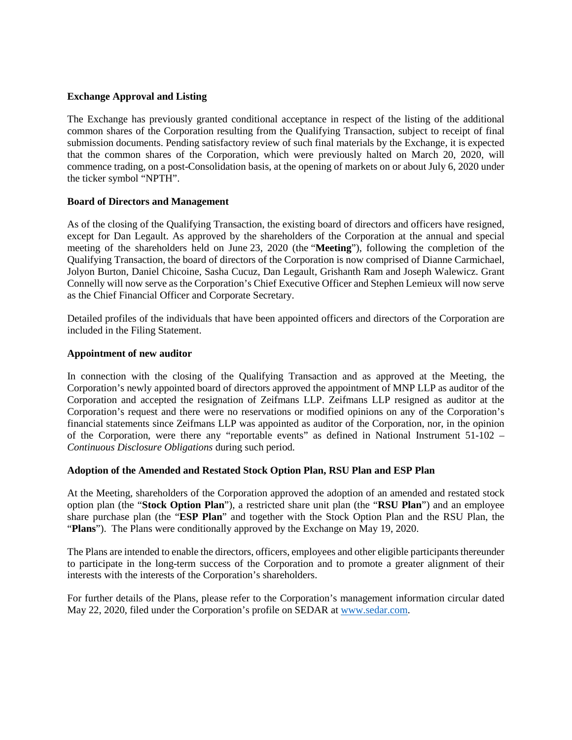## **Exchange Approval and Listing**

The Exchange has previously granted conditional acceptance in respect of the listing of the additional common shares of the Corporation resulting from the Qualifying Transaction, subject to receipt of final submission documents. Pending satisfactory review of such final materials by the Exchange, it is expected that the common shares of the Corporation, which were previously halted on March 20, 2020, will commence trading, on a post-Consolidation basis, at the opening of markets on or about July 6, 2020 under the ticker symbol "NPTH".

### **Board of Directors and Management**

As of the closing of the Qualifying Transaction, the existing board of directors and officers have resigned, except for Dan Legault. As approved by the shareholders of the Corporation at the annual and special meeting of the shareholders held on June 23, 2020 (the "**Meeting**"), following the completion of the Qualifying Transaction, the board of directors of the Corporation is now comprised of Dianne Carmichael, Jolyon Burton, Daniel Chicoine, Sasha Cucuz, Dan Legault, Grishanth Ram and Joseph Walewicz. Grant Connelly will now serve as the Corporation's Chief Executive Officer and Stephen Lemieux will now serve as the Chief Financial Officer and Corporate Secretary.

Detailed profiles of the individuals that have been appointed officers and directors of the Corporation are included in the Filing Statement.

#### **Appointment of new auditor**

In connection with the closing of the Qualifying Transaction and as approved at the Meeting, the Corporation's newly appointed board of directors approved the appointment of MNP LLP as auditor of the Corporation and accepted the resignation of Zeifmans LLP. Zeifmans LLP resigned as auditor at the Corporation's request and there were no reservations or modified opinions on any of the Corporation's financial statements since Zeifmans LLP was appointed as auditor of the Corporation, nor, in the opinion of the Corporation, were there any "reportable events" as defined in National Instrument 51-102 – *Continuous Disclosure Obligations* during such period.

#### **Adoption of the Amended and Restated Stock Option Plan, RSU Plan and ESP Plan**

At the Meeting, shareholders of the Corporation approved the adoption of an amended and restated stock option plan (the "**Stock Option Plan**"), a restricted share unit plan (the "**RSU Plan**") and an employee share purchase plan (the "**ESP Plan**" and together with the Stock Option Plan and the RSU Plan, the "**Plans**"). The Plans were conditionally approved by the Exchange on May 19, 2020.

The Plans are intended to enable the directors, officers, employees and other eligible participants thereunder to participate in the long-term success of the Corporation and to promote a greater alignment of their interests with the interests of the Corporation's shareholders.

For further details of the Plans, please refer to the Corporation's [management info](http://www.sedar.com/)rmation circular dated May 22, 2020, filed under the Corporation's profile on SEDAR at www.sedar.com.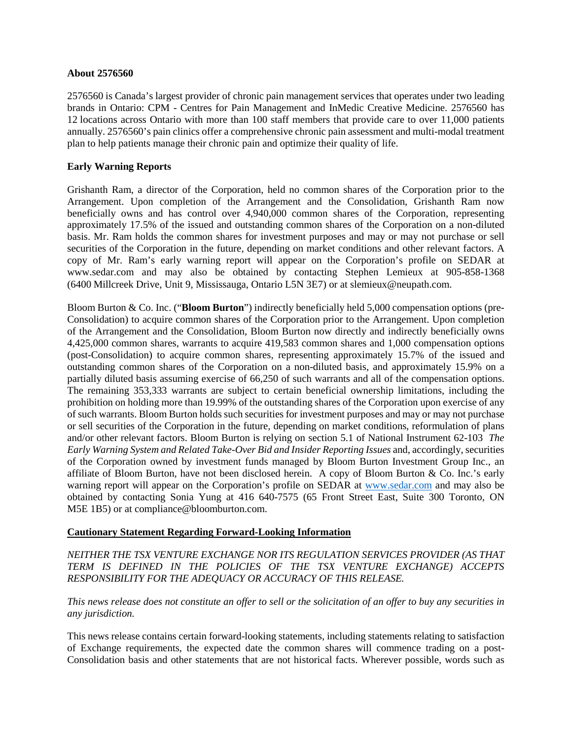## **About 2576560**

2576560 is Canada's largest provider of chronic pain management services that operates under two leading brands in Ontario: CPM - Centres for Pain Management and InMedic Creative Medicine. 2576560 has 12 locations across Ontario with more than 100 staff members that provide care to over 11,000 patients annually. 2576560's pain clinics offer a comprehensive chronic pain assessment and multi-modal treatment plan to help patients manage their chronic pain and optimize their quality of life.

## **Early Warning Reports**

Grishanth Ram, a director of the Corporation, held no common shares of the Corporation prior to the Arrangement. Upon completion of the Arrangement and the Consolidation, Grishanth Ram now beneficially owns and has control over 4,940,000 common shares of the Corporation, representing approximately 17.5% of the issued and outstanding common shares of the Corporation on a non-diluted basis. Mr. Ram holds the common shares for investment purposes and may or may not purchase or sell securities of the Corporation in the future, depending on market conditions and other relevant factors. A copy of Mr. Ram's early warning report will appear on the Corporation's profile on SEDAR at www.sedar.com and may also be obtained by contacting Stephen Lemieux at 905-858-1368 (6400 Millcreek Drive, Unit 9, Mississauga, Ontario L5N 3E7) or at slemieux@neupath.com.

Bloom Burton & Co. Inc. ("**Bloom Burton**") indirectly beneficially held 5,000 compensation options (pre-Consolidation) to acquire common shares of the Corporation prior to the Arrangement. Upon completion of the Arrangement and the Consolidation, Bloom Burton now directly and indirectly beneficially owns 4,425,000 common shares, warrants to acquire 419,583 common shares and 1,000 compensation options (post-Consolidation) to acquire common shares, representing approximately 15.7% of the issued and outstanding common shares of the Corporation on a non-diluted basis, and approximately 15.9% on a partially diluted basis assuming exercise of 66,250 of such warrants and all of the compensation options. The remaining 353,333 warrants are subject to certain beneficial ownership limitations, including the prohibition on holding more than 19.99% of the outstanding shares of the Corporation upon exercise of any of such warrants. Bloom Burton holds such securities for investment purposes and may or may not purchase or sell securities of the Corporation in the future, depending on market conditions, reformulation of plans and/or other relevant factors. Bloom Burton is relying on section 5.1 of National Instrument 62-103 *The Early Warning System and Related Take-Over Bid and Insider Reporting Issues* and, accordingly, securities of the Corporation owned by investment funds managed by Bloom Burton Investment Group Inc., an affiliate of Bloom Burton, have not been disclosed herein. A copy of [Bloom Burton &](http://www.sedar.com/) Co. Inc.'s early warning report will appear on the Corporation's profile on SEDAR at www.sedar.com and may also be obtained by contacting Sonia Yung at 416 640-7575 (65 Front Street East, Suite 300 Toronto, ON M5E 1B5) or at compliance@bloomburton.com.

## **Cautionary Statement Regarding Forward-Looking Information**

## *NEITHER THE TSX VENTURE EXCHANGE NOR ITS REGULATION SERVICES PROVIDER (AS THAT TERM IS DEFINED IN THE POLICIES OF THE TSX VENTURE EXCHANGE) ACCEPTS RESPONSIBILITY FOR THE ADEQUACY OR ACCURACY OF THIS RELEASE.*

# *This news release does not constitute an offer to sell or the solicitation of an offer to buy any securities in any jurisdiction.*

This news release contains certain forward-looking statements, including statements relating to satisfaction of Exchange requirements, the expected date the common shares will commence trading on a post-Consolidation basis and other statements that are not historical facts. Wherever possible, words such as